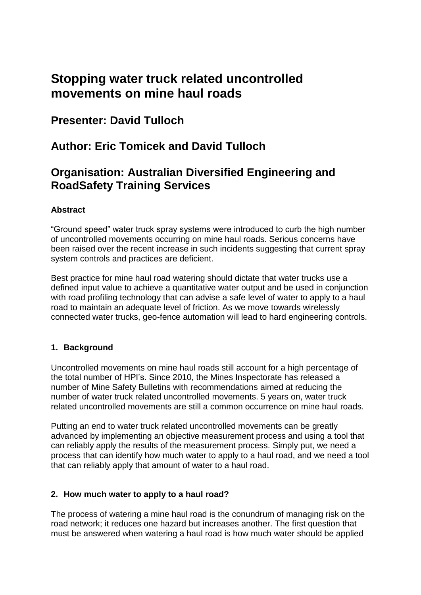# **Stopping water truck related uncontrolled movements on mine haul roads**

# **Presenter: David Tulloch**

# **Author: Eric Tomicek and David Tulloch**

# **Organisation: Australian Diversified Engineering and RoadSafety Training Services**

### **Abstract**

"Ground speed" water truck spray systems were introduced to curb the high number of uncontrolled movements occurring on mine haul roads. Serious concerns have been raised over the recent increase in such incidents suggesting that current spray system controls and practices are deficient.

Best practice for mine haul road watering should dictate that water trucks use a defined input value to achieve a quantitative water output and be used in conjunction with road profiling technology that can advise a safe level of water to apply to a haul road to maintain an adequate level of friction. As we move towards wirelessly connected water trucks, geo-fence automation will lead to hard engineering controls.

#### **1. Background**

Uncontrolled movements on mine haul roads still account for a high percentage of the total number of HPI's. Since 2010, the Mines Inspectorate has released a number of Mine Safety Bulletins with recommendations aimed at reducing the number of water truck related uncontrolled movements. 5 years on, water truck related uncontrolled movements are still a common occurrence on mine haul roads.

Putting an end to water truck related uncontrolled movements can be greatly advanced by implementing an objective measurement process and using a tool that can reliably apply the results of the measurement process. Simply put, we need a process that can identify how much water to apply to a haul road, and we need a tool that can reliably apply that amount of water to a haul road.

#### **2. How much water to apply to a haul road?**

The process of watering a mine haul road is the conundrum of managing risk on the road network; it reduces one hazard but increases another. The first question that must be answered when watering a haul road is how much water should be applied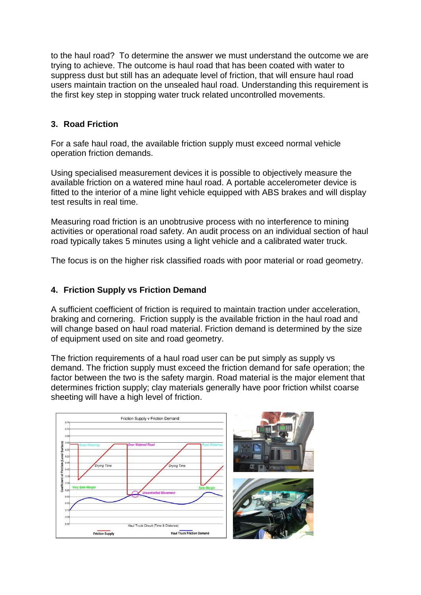to the haul road? To determine the answer we must understand the outcome we are trying to achieve. The outcome is haul road that has been coated with water to suppress dust but still has an adequate level of friction, that will ensure haul road users maintain traction on the unsealed haul road. Understanding this requirement is the first key step in stopping water truck related uncontrolled movements.

### **3. Road Friction**

For a safe haul road, the available friction supply must exceed normal vehicle operation friction demands.

Using specialised measurement devices it is possible to objectively measure the available friction on a watered mine haul road. A portable accelerometer device is fitted to the interior of a mine light vehicle equipped with ABS brakes and will display test results in real time.

Measuring road friction is an unobtrusive process with no interference to mining activities or operational road safety. An audit process on an individual section of haul road typically takes 5 minutes using a light vehicle and a calibrated water truck.

The focus is on the higher risk classified roads with poor material or road geometry.

#### **4. Friction Supply vs Friction Demand**

A sufficient coefficient of friction is required to maintain traction under acceleration, braking and cornering. Friction supply is the available friction in the haul road and will change based on haul road material. Friction demand is determined by the size of equipment used on site and road geometry.

The friction requirements of a haul road user can be put simply as supply vs demand. The friction supply must exceed the friction demand for safe operation; the factor between the two is the safety margin. Road material is the major element that determines friction supply; clay materials generally have poor friction whilst coarse sheeting will have a high level of friction.

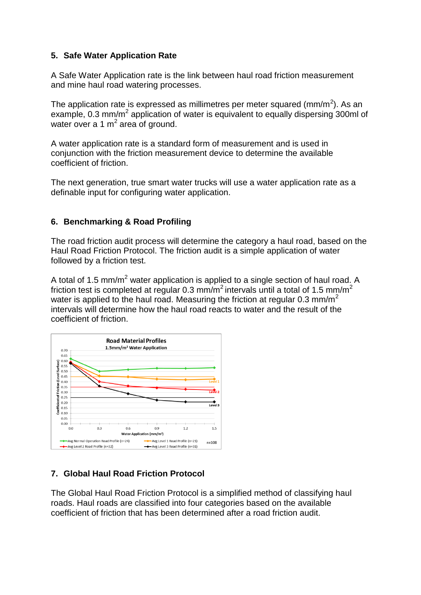#### **5. Safe Water Application Rate**

A Safe Water Application rate is the link between haul road friction measurement and mine haul road watering processes.

The application rate is expressed as millimetres per meter squared (mm/m<sup>2</sup>). As an example, 0.3 mm/m<sup>2</sup> application of water is equivalent to equally dispersing 300ml of water over a 1  $m<sup>2</sup>$  area of ground.

A water application rate is a standard form of measurement and is used in conjunction with the friction measurement device to determine the available coefficient of friction.

The next generation, true smart water trucks will use a water application rate as a definable input for configuring water application.

#### **6. Benchmarking & Road Profiling**

The road friction audit process will determine the category a haul road, based on the Haul Road Friction Protocol. The friction audit is a simple application of water followed by a friction test.

A total of 1.5 mm/m<sup>2</sup> water application is applied to a single section of haul road. A friction test is completed at regular 0.3 mm/m<sup>2</sup> intervals until a total of 1.5 mm/m<sup>2</sup> water is applied to the haul road. Measuring the friction at regular 0.3 mm/m<sup>2</sup> intervals will determine how the haul road reacts to water and the result of the coefficient of friction.



#### **7. Global Haul Road Friction Protocol**

The Global Haul Road Friction Protocol is a simplified method of classifying haul roads. Haul roads are classified into four categories based on the available coefficient of friction that has been determined after a road friction audit.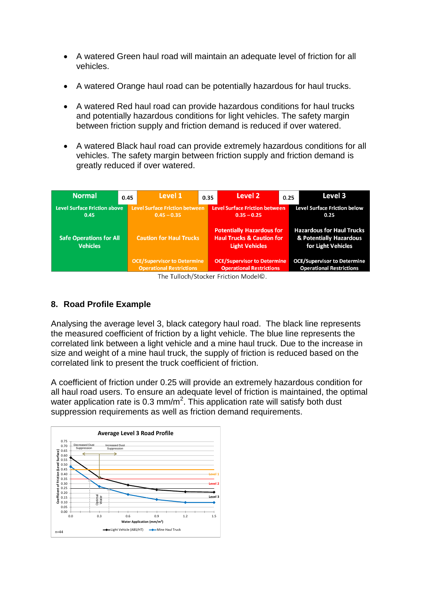- A watered Green haul road will maintain an adequate level of friction for all vehicles.
- A watered Orange haul road can be potentially hazardous for haul trucks.
- A watered Red haul road can provide hazardous conditions for haul trucks and potentially hazardous conditions for light vehicles. The safety margin between friction supply and friction demand is reduced if over watered.
- A watered Black haul road can provide extremely hazardous conditions for all vehicles. The safety margin between friction supply and friction demand is greatly reduced if over watered.

| Level 1<br><b>Normal</b><br>0.45                                                                      | 0.35 | Level 2                                                                                           | 0.25 | Level 3                                                                           |
|-------------------------------------------------------------------------------------------------------|------|---------------------------------------------------------------------------------------------------|------|-----------------------------------------------------------------------------------|
| <b>Level Surface Friction between</b><br><b>Level Surface Friction above</b><br>$0.45 - 0.35$<br>0.45 |      | <b>Level Surface Friction between</b><br>$0.35 - 0.25$                                            |      | <b>Level Surface Friction below</b><br>0.25                                       |
| <b>Caution for Haul Trucks</b><br><b>Safe Operations for All</b><br><b>Vehicles</b>                   |      | <b>Potentially Hazardous for</b><br><b>Haul Trucks &amp; Caution for</b><br><b>Light Vehicles</b> |      | <b>Hazardous for Haul Trucks</b><br>& Potentially Hazardous<br>for Light Vehicles |
| <b>OCE/Supervisor to Determine</b><br><b>Operational Restrictions</b>                                 |      | <b>OCE/Supervisor to Determine</b><br><b>Operational Restrictions</b>                             |      | <b>OCE/Supervisor to Determine</b><br><b>Operational Restrictions</b>             |
|                                                                                                       |      | The Tullach (Steeker Eristian ModelC)                                                             |      |                                                                                   |

The Tulloch/Stocker Friction Model©.

#### **8. Road Profile Example**

Analysing the average level 3, black category haul road. The black line represents the measured coefficient of friction by a light vehicle. The blue line represents the correlated link between a light vehicle and a mine haul truck. Due to the increase in size and weight of a mine haul truck, the supply of friction is reduced based on the correlated link to present the truck coefficient of friction.

A coefficient of friction under 0.25 will provide an extremely hazardous condition for all haul road users. To ensure an adequate level of friction is maintained, the optimal water application rate is 0.3 mm/m<sup>2</sup>. This application rate will satisfy both dust suppression requirements as well as friction demand requirements.

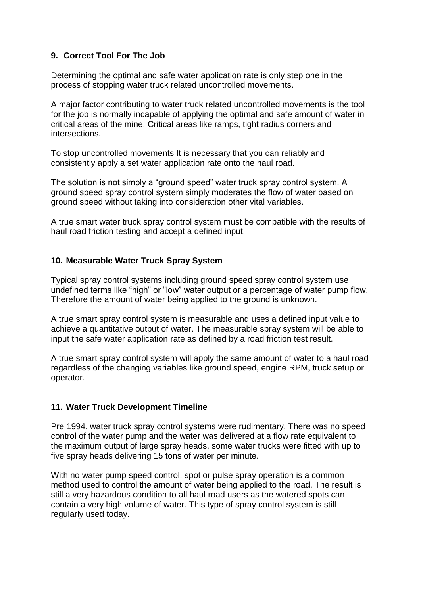#### **9. Correct Tool For The Job**

Determining the optimal and safe water application rate is only step one in the process of stopping water truck related uncontrolled movements.

A major factor contributing to water truck related uncontrolled movements is the tool for the job is normally incapable of applying the optimal and safe amount of water in critical areas of the mine. Critical areas like ramps, tight radius corners and intersections.

To stop uncontrolled movements It is necessary that you can reliably and consistently apply a set water application rate onto the haul road.

The solution is not simply a "ground speed" water truck spray control system. A ground speed spray control system simply moderates the flow of water based on ground speed without taking into consideration other vital variables.

A true smart water truck spray control system must be compatible with the results of haul road friction testing and accept a defined input.

#### **10. Measurable Water Truck Spray System**

Typical spray control systems including ground speed spray control system use undefined terms like "high" or "low" water output or a percentage of water pump flow. Therefore the amount of water being applied to the ground is unknown.

A true smart spray control system is measurable and uses a defined input value to achieve a quantitative output of water. The measurable spray system will be able to input the safe water application rate as defined by a road friction test result.

A true smart spray control system will apply the same amount of water to a haul road regardless of the changing variables like ground speed, engine RPM, truck setup or operator.

#### **11. Water Truck Development Timeline**

Pre 1994, water truck spray control systems were rudimentary. There was no speed control of the water pump and the water was delivered at a flow rate equivalent to the maximum output of large spray heads, some water trucks were fitted with up to five spray heads delivering 15 tons of water per minute.

With no water pump speed control, spot or pulse spray operation is a common method used to control the amount of water being applied to the road. The result is still a very hazardous condition to all haul road users as the watered spots can contain a very high volume of water. This type of spray control system is still regularly used today.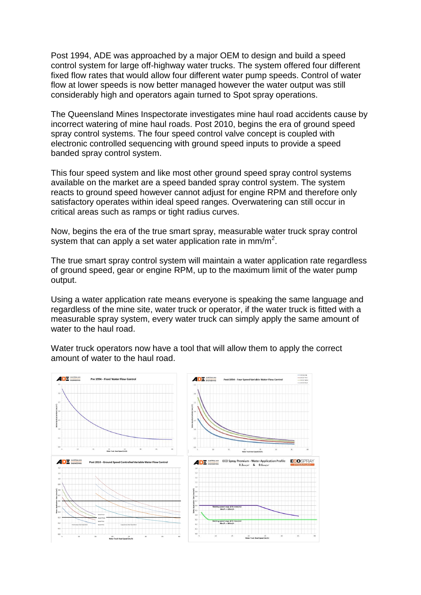Post 1994, ADE was approached by a major OEM to design and build a speed control system for large off-highway water trucks. The system offered four different fixed flow rates that would allow four different water pump speeds. Control of water flow at lower speeds is now better managed however the water output was still considerably high and operators again turned to Spot spray operations.

The Queensland Mines Inspectorate investigates mine haul road accidents cause by incorrect watering of mine haul roads. Post 2010, begins the era of ground speed spray control systems. The four speed control valve concept is coupled with electronic controlled sequencing with ground speed inputs to provide a speed banded spray control system.

This four speed system and like most other ground speed spray control systems available on the market are a speed banded spray control system. The system reacts to ground speed however cannot adjust for engine RPM and therefore only satisfactory operates within ideal speed ranges. Overwatering can still occur in critical areas such as ramps or tight radius curves.

Now, begins the era of the true smart spray, measurable water truck spray control system that can apply a set water application rate in mm/m<sup>2</sup>.

The true smart spray control system will maintain a water application rate regardless of ground speed, gear or engine RPM, up to the maximum limit of the water pump output.

Using a water application rate means everyone is speaking the same language and regardless of the mine site, water truck or operator, if the water truck is fitted with a measurable spray system, every water truck can simply apply the same amount of water to the haul road.

Water truck operators now have a tool that will allow them to apply the correct amount of water to the haul road.

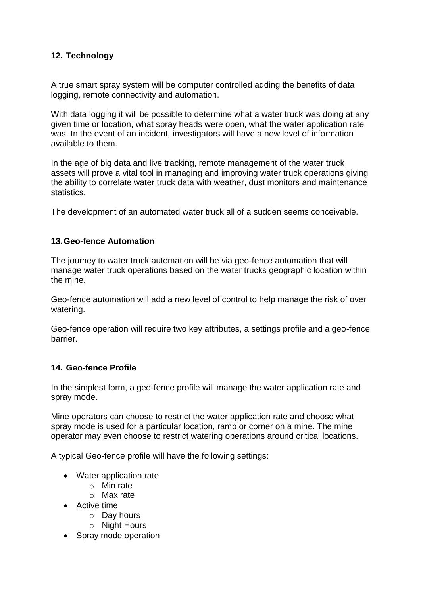### **12. Technology**

A true smart spray system will be computer controlled adding the benefits of data logging, remote connectivity and automation.

With data logging it will be possible to determine what a water truck was doing at any given time or location, what spray heads were open, what the water application rate was. In the event of an incident, investigators will have a new level of information available to them.

In the age of big data and live tracking, remote management of the water truck assets will prove a vital tool in managing and improving water truck operations giving the ability to correlate water truck data with weather, dust monitors and maintenance statistics.

The development of an automated water truck all of a sudden seems conceivable.

#### **13.Geo-fence Automation**

The journey to water truck automation will be via geo-fence automation that will manage water truck operations based on the water trucks geographic location within the mine.

Geo-fence automation will add a new level of control to help manage the risk of over watering.

Geo-fence operation will require two key attributes, a settings profile and a geo-fence barrier.

#### **14. Geo-fence Profile**

In the simplest form, a geo-fence profile will manage the water application rate and spray mode.

Mine operators can choose to restrict the water application rate and choose what spray mode is used for a particular location, ramp or corner on a mine. The mine operator may even choose to restrict watering operations around critical locations.

A typical Geo-fence profile will have the following settings:

- Water application rate
	- o Min rate
	- o Max rate
- Active time
	- o Day hours
	- o Night Hours
- Spray mode operation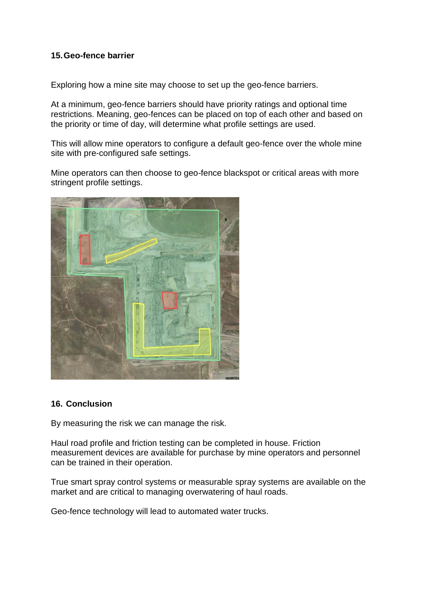#### **15.Geo-fence barrier**

Exploring how a mine site may choose to set up the geo-fence barriers.

At a minimum, geo-fence barriers should have priority ratings and optional time restrictions. Meaning, geo-fences can be placed on top of each other and based on the priority or time of day, will determine what profile settings are used.

This will allow mine operators to configure a default geo-fence over the whole mine site with pre-configured safe settings.

Mine operators can then choose to geo-fence blackspot or critical areas with more stringent profile settings.



#### **16. Conclusion**

By measuring the risk we can manage the risk.

Haul road profile and friction testing can be completed in house. Friction measurement devices are available for purchase by mine operators and personnel can be trained in their operation.

True smart spray control systems or measurable spray systems are available on the market and are critical to managing overwatering of haul roads.

Geo-fence technology will lead to automated water trucks.